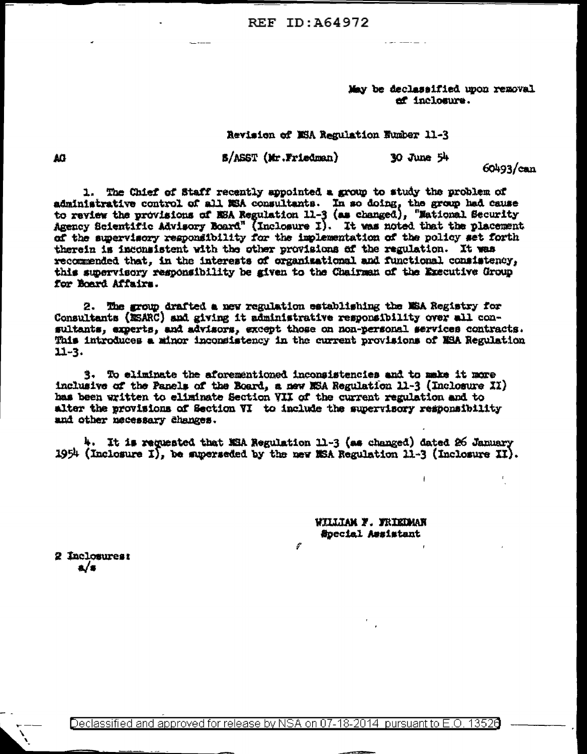**REF ID: 464972** 

May be declassified upon removal ef inclosure.

the company of the company of

Revision of MSA Regulation Humber 11-3

**S/ASST (Mr.Friedman)**  $30$  June  $54$ 

60493/can

1. The Chief of Staff recently appointed a group to study the problem of administrative control of all NSA consultants. In so doing, the group had cause to review the provisions of NSA Regulation 11-3 (as changed), "Mational Security Agency Scientific Advisory Board" (Inclosure I). It was noted that the placement of the supervisory responsibility for the implementation of the policy set forth therein is inconsistent with the other provisions of the regulation. It was recommended that, in the interests of organizational and functional consistency, this supervisory responsibility be given to the Chairman of the Executive Group for Board Affairs.

2. The grow drafted a new regulation establishing the NSA Registry for Consultants (NSARC) and giving it administrative responsibility over all consultants, experts, and advisors, except those on non-personal services contracts. This introduces a minor inconsistency in the current provisions of MSA Regulation  $11 - 3.$ 

3. To eliminate the aforementioned inconsistencies and to make it more inclusive of the Panels of the Board, a new MSA Regulation 11-3 (Inclosure XI) has been written to eliminate Section VII of the current regulation and to alter the provisions of Section VI to include the supervisory responsibility and other necessary changes.

4. It is requested that NSA Regulation 11-3 (as changed) dated 26 January 1954 (Inclosure I), be superseded by the new MSA Regulation 11-3 (Inclosure II).

1

WILLIAM F. FRIEDMAN Special Assistant

2 Inclosures:  $\mathbf{a}/\mathbf{s}$ 

AO.

Declassified and approved for release by NSA on 07-18-2014 pursuant to E.O. 13526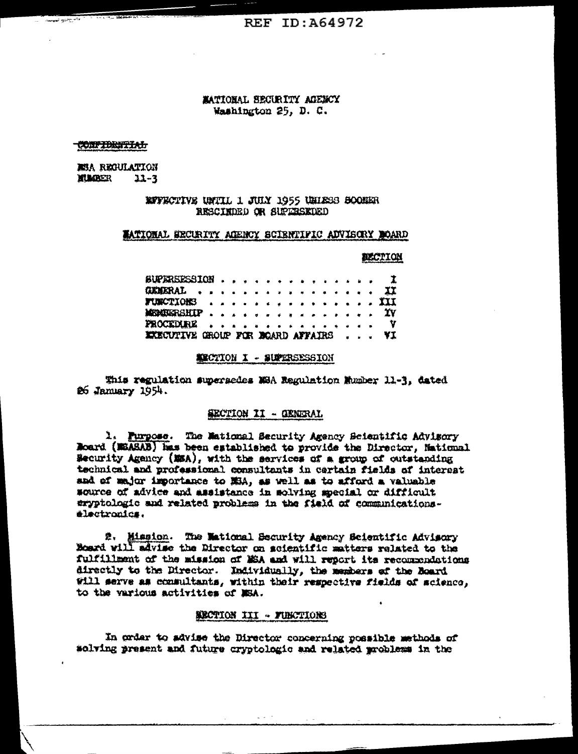# MATIONAL SECURITY AGENCY Washington 25, D. C.

#### **CONFIDENTIAL**

**RSA REGULATION HUMBER**  $22 - 3$ 

## REFECTIVE UNTIL 1 JULY 1955 URIESS SOONER RESCIEDED OR SUPERSEDED

### MATIONAL EECURITY ACENCY SCIENTIFIC ADVISORY DOARD

### **ACCTION**

| BUPERSESSION I                               |  |  |  |  |  |  |  |  |
|----------------------------------------------|--|--|--|--|--|--|--|--|
| GEMERAL II                                   |  |  |  |  |  |  |  |  |
| FUNCTIONS III                                |  |  |  |  |  |  |  |  |
| <b>MEDIEERSHIP</b> YV                        |  |  |  |  |  |  |  |  |
| PROCEDURE V                                  |  |  |  |  |  |  |  |  |
| <b>EXECUTIVE GROUP FOR BOARD AFFAIRS  YI</b> |  |  |  |  |  |  |  |  |

#### **MECTION I - SUPERSESSION**

This regulation supersedes NSA Regulation Mumber 11-3, dated 26 Jammary 1954.

#### SECTION II - GENERAL

1. Purpose. The Mational Security Agency Scientific Advisory Roard (MEASAB) has been established to provide the Director, National Security Agency (MSA), with the services of a group of outstanding technical and professional consultants in certain fields of interest and of major importance to MSA, as well as to afford a valuable source of advice and assistance in solving special or difficult eryptologic and related problems in the field of communications. electronics.

2. Mission. The Maticmal Security Agency Scientific Advisory<br>Board will advise the Director on scientific matters related to the fulfillment of the mission of MSA and will report its recommendations directly to the Director. Individually, the members of the Board Will serve as commultants, within their respective fields of science. to the various activities of MSA.

#### SECTION III - FUNCTIONS

In order to advise the Director concerning possible methods of solving present and future cryptologic and related problems in the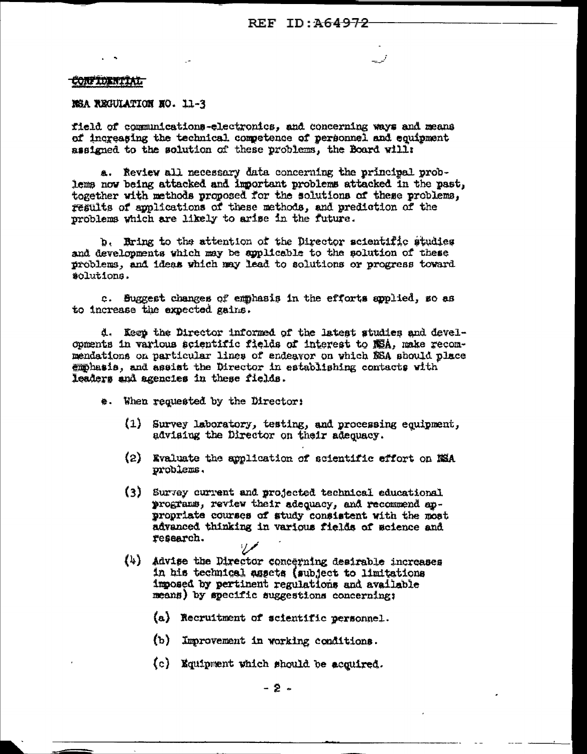## **CONFIDENTIAL**

## NSA REGULATION NO. 11-3

field of communications-electronics, and concerning ways and means of increasing the technical competence of personnel and equipment assigned to the solution of these problems, the Board will:

a. Review all necessary data concerning the principal problems now being attacked and important problems attacked in the past, together with methods proposed for the solutions of these problems, results of applications of these methods, and prediction of the problems which are likely to arise in the future.

b. Bring to the attention of the Director scientific studies and developments which may be applicable to the solution of these problems, and ideas which may lead to solutions or progress toward solutions.

c. Suggest changes of emphasis in the efforts applied, so as to increase the expected gains.

d. Keep the Director informed of the latest studies and developments in various scientific fields of interest to NSA, make recommendations on particular lines of endeavor on which NSA should place emphasis, and assist the Director in establishing contacts with leaders and agencies in these fields.

- \*. When requested by the Director:
	- (1) Survey laboratory, testing, and processing equipment, advising the Director on their adequacy.
	- (2) Evaluate the application of scientific effort on NSA problems.
	- (3) Survey current and projected technical educational programs, review their adequacy, and recommend appropriate courses of study consistent with the most advanced thinking in various fields of science and research.
	- (4) Advise the Director concerning desirable increases in his technical assets (subject to limitations imposed by pertinent regulations and available means) by specific suggestions concerning;
		- (a) Recruitment of scientific personnel.
		- (b) Improvement in working conditions.
		- (c) Mquipment which should be acquired.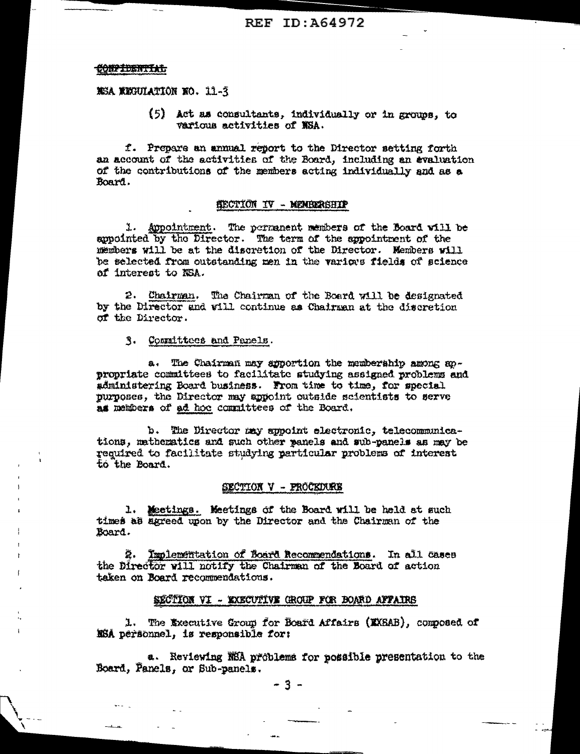### CONFIDENTIAL

MSA MEGULATION NO. 11-3

(5) Act as consultants, individually or in groups, to various activities of NSA.

f. Prepare an annual report to the Director setting forth an account of the activities of the Board, including an evaluation of the contributions of the members acting individually and as a Board.

## SECTION IV - MENBERSHIP

1. Appointment. The permanent members of the Board will be appointed by the Director. The term of the appointment of the members will be at the discretion of the Director. Members will be selected from outstanding men in the various fields of science of interest to NSA.

2. Chairman. The Chairman of the Board will be designated by the Director and will continue as Chairman at the discretion of the Director.

3. Committees and Panels.

a. The Chairman may apportion the membership among appropriate committees to facilitate studying assigned problems and administering Board business. From time to time, for special purposes, the Director may appoint outside scientists to serve as members of ad hoc committees of the Board.

b. The Director may appoint electronic, telecommunications, mathematics and such other panels and sub-panels as may be required to facilitate studying particular problems of interest to the Board.

### SECTION V - PROCEDURE

1. Meetings. Meetings of the Board will be held at such times as sgreed upon by the Director and the Chairman of the Board.

2. Implementation of Board Recommendations. In all cases the Director will notify the Chairman of the Board of action taken on Board recommendations.

### SECTION VI - KXECUTIVE GROUP FOR BOARD AFFAIRS

1. The Executive Group for Board Affairs (KXSAB), composed of NSA personnel, is responsible for:

a. Reviewing NSA problems for possible presentation to the Board, Panels, or Sub-panels.